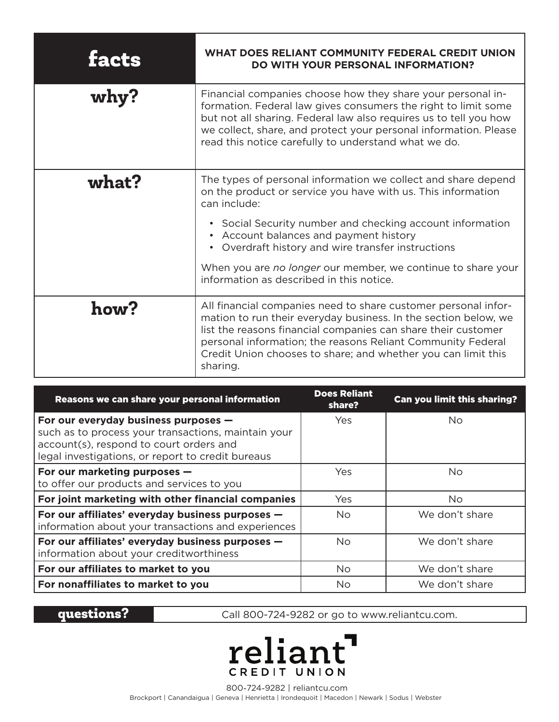| facts | <b>WHAT DOES RELIANT COMMUNITY FEDERAL CREDIT UNION</b><br><b>DO WITH YOUR PERSONAL INFORMATION?</b>                                                                                                                                                                                                                                           |
|-------|------------------------------------------------------------------------------------------------------------------------------------------------------------------------------------------------------------------------------------------------------------------------------------------------------------------------------------------------|
| why?  | Financial companies choose how they share your personal in-<br>formation. Federal law gives consumers the right to limit some<br>but not all sharing. Federal law also requires us to tell you how<br>we collect, share, and protect your personal information. Please<br>read this notice carefully to understand what we do.                 |
| what? | The types of personal information we collect and share depend<br>on the product or service you have with us. This information<br>can include:                                                                                                                                                                                                  |
|       | • Social Security number and checking account information<br>• Account balances and payment history<br>• Overdraft history and wire transfer instructions                                                                                                                                                                                      |
|       | When you are no longer our member, we continue to share your<br>information as described in this notice.                                                                                                                                                                                                                                       |
| how?  | All financial companies need to share customer personal infor-<br>mation to run their everyday business. In the section below, we<br>list the reasons financial companies can share their customer<br>personal information; the reasons Reliant Community Federal<br>Credit Union chooses to share; and whether you can limit this<br>sharing. |

| Reasons we can share your personal information                                                                                                                                              | <b>Does Reliant</b><br>share? | <b>Can you limit this sharing?</b> |
|---------------------------------------------------------------------------------------------------------------------------------------------------------------------------------------------|-------------------------------|------------------------------------|
| For our everyday business purposes -<br>such as to process your transactions, maintain your<br>account(s), respond to court orders and<br>legal investigations, or report to credit bureaus | Yes.                          | No.                                |
| For our marketing purposes -<br>to offer our products and services to you                                                                                                                   | Yes                           | No.                                |
| For joint marketing with other financial companies                                                                                                                                          | Yes                           | No.                                |
| For our affiliates' everyday business purposes -<br>information about your transactions and experiences                                                                                     | No.                           | We don't share                     |
| For our affiliates' everyday business purposes -<br>information about your creditworthiness                                                                                                 | <b>No</b>                     | We don't share                     |
| For our affiliates to market to you                                                                                                                                                         | <b>No</b>                     | We don't share                     |
| For nonaffiliates to market to you                                                                                                                                                          | <b>No</b>                     | We don't share                     |

questions? Call 800-724-9282 or go to www.reliantcu.com.